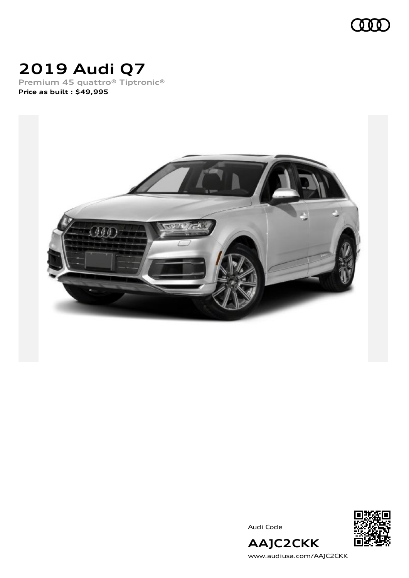

## **2019 Audi Q7**

**Premium 45 quattro® Tiptronic® Price as built [:](#page-10-0) \$49,995**







[www.audiusa.com/AAJC2CKK](https://www.audiusa.com/AAJC2CKK)

**AAJC2CKK**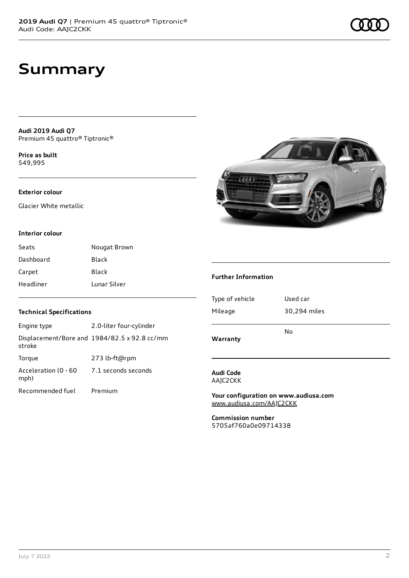### **Summary**

**Audi 2019 Audi Q7** Premium 45 quattro® Tiptronic®

**Price as buil[t](#page-10-0)** \$49,995

### **Exterior colour**

Glacier White metallic

#### **Interior colour**

| Seats     | Nougat Brown |
|-----------|--------------|
| Dashboard | Black        |
| Carpet    | Black        |
| Headliner | Lunar Silver |

### **Technical Specifications**

| Engine type                  | 2.0-liter four-cylinder                      |
|------------------------------|----------------------------------------------|
| stroke                       | Displacement/Bore and 1984/82.5 x 92.8 cc/mm |
| Torque                       | 273 lb-ft@rpm                                |
| Acceleration (0 - 60<br>mph) | 7.1 seconds seconds                          |
| Recommended fuel             | Premium                                      |



#### **Further Information**

| 30,294 miles |
|--------------|
|              |
|              |

**Audi Code**

AAJC2CKK

**Your configuration on www.audiusa.com** [www.audiusa.com/AAJC2CKK](https://www.audiusa.com/AAJC2CKK)

**Commission number** 5705af760a0e09714338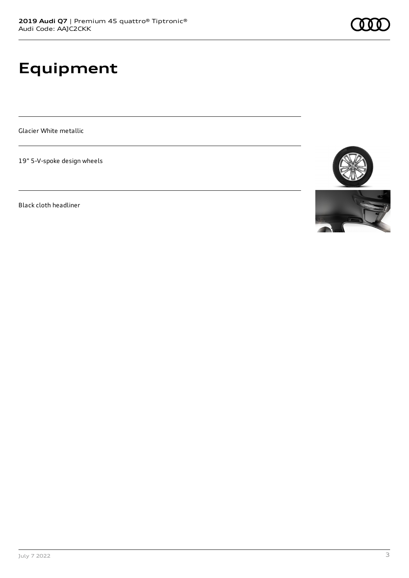# **Equipment**

Glacier White metallic

19" 5-V-spoke design wheels

Black cloth headliner



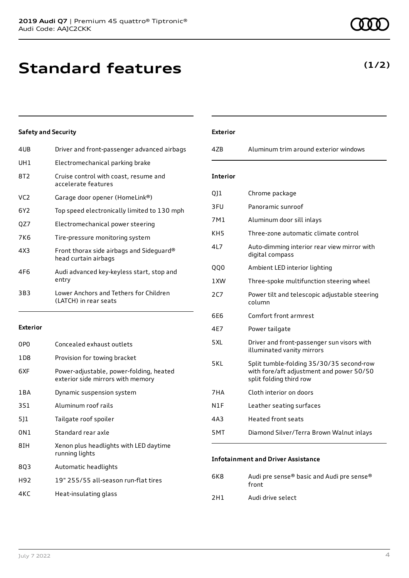### **Standard features**

### **Safety and Security**

| 4UB             | Driver and front-passenger advanced airbags                      |
|-----------------|------------------------------------------------------------------|
| UH1             | Electromechanical parking brake                                  |
| 8T <sub>2</sub> | Cruise control with coast, resume and<br>accelerate features     |
| VC <sub>2</sub> | Garage door opener (HomeLink®)                                   |
| 6Y2             | Top speed electronically limited to 130 mph                      |
| QZ7             | Electromechanical power steering                                 |
| 7K6             | Tire-pressure monitoring system                                  |
| 4X3             | Front thorax side airbags and Sideguard®<br>head curtain airbags |
| 4F6             | Audi advanced key-keyless start, stop and<br>entry               |
| 3B3             | Lower Anchors and Tethers for Children<br>(LATCH) in rear seats  |
|                 |                                                                  |

#### **Exterior**

| 0PO   | Concealed exhaust outlets                                                    |
|-------|------------------------------------------------------------------------------|
| 1D8   | Provision for towing bracket                                                 |
| 6XF   | Power-adjustable, power-folding, heated<br>exterior side mirrors with memory |
| 1 B A | Dynamic suspension system                                                    |
| 3S1   | Aluminum roof rails                                                          |
| 511   | Tailgate roof spoiler                                                        |
| 0N1   | Standard rear axle                                                           |
| 8TH   | Xenon plus headlights with LED daytime<br>running lights                     |
| 803   | Automatic headlights                                                         |
| H92   | 19" 255/55 all-season run-flat tires                                         |
|       |                                                                              |

### 4KC Heat-insulating glass

### **Exterior**

| 47 <sub>B</sub> | Aluminum trim around exterior windows                                                                           |
|-----------------|-----------------------------------------------------------------------------------------------------------------|
| <b>Interior</b> |                                                                                                                 |
| 011             | Chrome package                                                                                                  |
| 3FU             | Panoramic sunroof                                                                                               |
| 7M1             | Aluminum door sill inlays                                                                                       |
| KH <sub>5</sub> | Three-zone automatic climate control                                                                            |
| 4L7             | Auto-dimming interior rear view mirror with<br>digital compass                                                  |
| QQ0             | Ambient LED interior lighting                                                                                   |
| 1XW             | Three-spoke multifunction steering wheel                                                                        |
| 2C7             | Power tilt and telescopic adjustable steering<br>column                                                         |
| 6E6             | Comfort front armrest                                                                                           |
| 4E7             | Power tailgate                                                                                                  |
| 5XL             | Driver and front-passenger sun visors with<br>illuminated vanity mirrors                                        |
| 5KL             | Split tumble-folding 35/30/35 second-row<br>with fore/aft adjustment and power 50/50<br>split folding third row |
| 7HA             | Cloth interior on doors                                                                                         |
| N1F             | Leather seating surfaces                                                                                        |

- 
- 4A3 Heated front seats
- 5MT Diamond Silver/Terra Brown Walnut inlays

### **Infotainment and Driver Assistance**

| 6K8 | Audi pre sense® basic and Audi pre sense®<br>front |
|-----|----------------------------------------------------|
| 2H1 | Audi drive select                                  |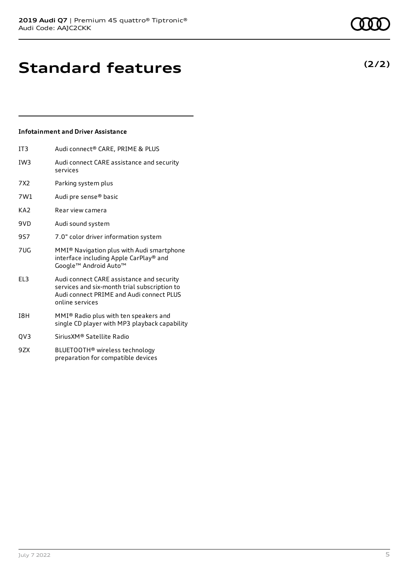### **Standard features**

### **Infotainment and Driver Assistance**

| IT3             | Audi connect® CARE, PRIME & PLUS                                                                                                                         |
|-----------------|----------------------------------------------------------------------------------------------------------------------------------------------------------|
| <b>TW3</b>      | Audi connect CARE assistance and security<br>services                                                                                                    |
| 7X2             | Parking system plus                                                                                                                                      |
| 7W1             | Audi pre sense® basic                                                                                                                                    |
| KA2             | Rear view camera                                                                                                                                         |
| 9VD             | Audi sound system                                                                                                                                        |
| 9S7             | 7.0" color driver information system                                                                                                                     |
| 7UG             | MMI® Navigation plus with Audi smartphone<br>interface including Apple CarPlay® and<br>Google™ Android Auto™                                             |
| FI <sub>3</sub> | Audi connect CARE assistance and security<br>services and six-month trial subscription to<br>Audi connect PRIME and Audi connect PLUS<br>online services |
| I8H             | MMI® Radio plus with ten speakers and<br>single CD player with MP3 playback capability                                                                   |
| QV3             | SiriusXM® Satellite Radio                                                                                                                                |
|                 |                                                                                                                                                          |

9ZX BLUETOOTH® wireless technology preparation for compatible devices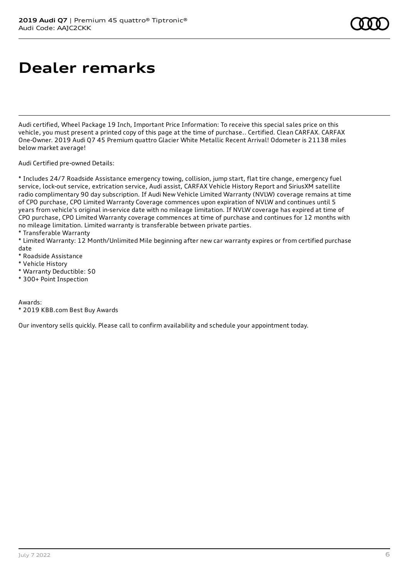## **Dealer remarks**

Audi certified, Wheel Package 19 Inch, Important Price Information: To receive this special sales price on this vehicle, you must present a printed copy of this page at the time of purchase.. Certified. Clean CARFAX. CARFAX One-Owner. 2019 Audi Q7 45 Premium quattro Glacier White Metallic Recent Arrival! Odometer is 21138 miles below market average!

Audi Certified pre-owned Details:

\* Includes 24/7 Roadside Assistance emergency towing, collision, jump start, flat tire change, emergency fuel service, lock-out service, extrication service, Audi assist, CARFAX Vehicle History Report and SiriusXM satellite radio complimentary 90 day subscription. If Audi New Vehicle Limited Warranty (NVLW) coverage remains at time of CPO purchase, CPO Limited Warranty Coverage commences upon expiration of NVLW and continues until 5 years from vehicle's original in-service date with no mileage limitation. If NVLW coverage has expired at time of CPO purchase, CPO Limited Warranty coverage commences at time of purchase and continues for 12 months with no mileage limitation. Limited warranty is transferable between private parties.

\* Transferable Warranty

\* Limited Warranty: 12 Month/Unlimited Mile beginning after new car warranty expires or from certified purchase date

- \* Roadside Assistance
- \* Vehicle History
- \* Warranty Deductible: \$0
- \* 300+ Point Inspection

Awards:

\* 2019 KBB.com Best Buy Awards

Our inventory sells quickly. Please call to confirm availability and schedule your appointment today.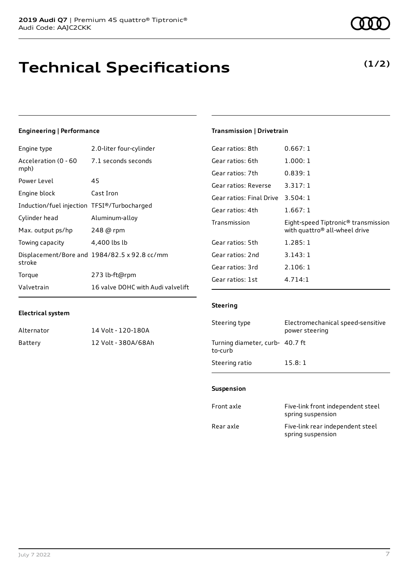### **Technical Specifications**

### **Engineering | Performance**

| Engine type                                 | 2.0-liter four-cylinder                      |
|---------------------------------------------|----------------------------------------------|
| Acceleration (0 - 60<br>mph)                | 7.1 seconds seconds                          |
| Power Level                                 | 45                                           |
| Engine block                                | Cast Iron                                    |
| Induction/fuel injection TFSI®/Turbocharged |                                              |
| Cylinder head                               | Aluminum-alloy                               |
| Max. output ps/hp                           | 248 @ rpm                                    |
| Towing capacity                             | 4,400 lbs lb                                 |
| stroke                                      | Displacement/Bore and 1984/82.5 x 92.8 cc/mm |
| Torque                                      | 273 lb-ft@rpm                                |
| Valvetrain                                  | 16 valve DOHC with Audi valvelift            |

Alternator 14 Volt - 120-180A Battery 12 Volt - 380A/68Ah

#### **Transmission | Drivetrain**

| Gear ratios: 8th         | 0.667:1                                                                                      |
|--------------------------|----------------------------------------------------------------------------------------------|
| Gear ratios: 6th         | 1.000:1                                                                                      |
| Gear ratios: 7th         | 0.839:1                                                                                      |
| Gear ratios: Reverse     | 3.317:1                                                                                      |
| Gear ratios: Final Drive | 3.504:1                                                                                      |
| Gear ratios: 4th         | 1.667:1                                                                                      |
|                          |                                                                                              |
| Transmission             | Eight-speed Tiptronic <sup>®</sup> transmission<br>with quattro <sup>®</sup> all-wheel drive |
| Gear ratios: 5th         | 1.285:1                                                                                      |
| Gear ratios: 2nd         | 3.143:1                                                                                      |
| Gear ratios: 3rd         | 2.106:1                                                                                      |

#### **Steering**

| Steering type                              | Electromechanical speed-sensitive<br>power steering |
|--------------------------------------------|-----------------------------------------------------|
| Turning diameter, curb- 40.7 ft<br>to-curb |                                                     |
| Steering ratio                             | 15.8:1                                              |

#### **Suspension**

| Front axle | Five-link front independent steel<br>spring suspension |
|------------|--------------------------------------------------------|
| Rear axle  | Five-link rear independent steel<br>spring suspension  |

**Electrical system**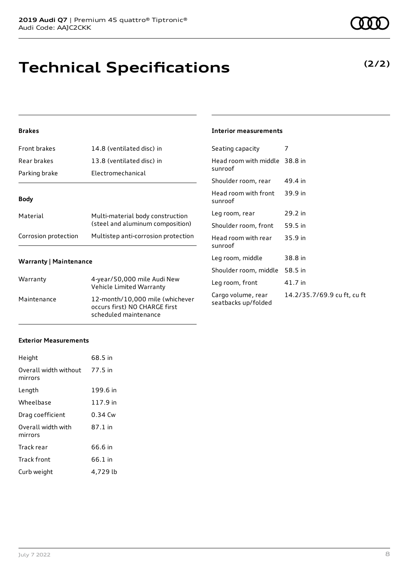### **Technical Specifications**

### **Brakes**

| <b>Front brakes</b>  | 14.8 (ventilated disc) in           | Sea <sup>-</sup> |  |
|----------------------|-------------------------------------|------------------|--|
| Rear brakes          | 13.8 (ventilated disc) in           | Hea              |  |
| Parking brake        | Electromechanical                   | suni<br>Sho      |  |
| <b>Body</b>          |                                     | Hea<br>suni      |  |
| Material             | Multi-material body construction    | Leg              |  |
|                      | (steel and aluminum composition)    | Sho              |  |
| Corrosion protection | Multistep anti-corrosion protection | Hea<br>suni      |  |

#### **Warranty | Maintenance**

| Warranty    | 4-year/50,000 mile Audi New<br>Vehicle Limited Warranty                                   |
|-------------|-------------------------------------------------------------------------------------------|
| Maintenance | 12-month/10,000 mile (whichever<br>occurs first) NO CHARGE first<br>scheduled maintenance |

#### **Interior measurements**

| Seating capacity                          | 7                           |
|-------------------------------------------|-----------------------------|
| Head room with middle 38.8 in<br>sunroof  |                             |
| Shoulder room, rear                       | 49.4 in                     |
| Head room with front<br>sunroof           | 39.9 in                     |
| Leg room, rear                            | 29.2 in                     |
| Shoulder room, front                      | 59.5 in                     |
| Head room with rear<br>sunroof            | 35.9 in                     |
| Leg room, middle                          | 38.8 in                     |
| Shoulder room, middle                     | 58.5 in                     |
| Leg room, front                           | 41.7 in                     |
| Cargo volume, rear<br>seatbacks up/folded | 14.2/35.7/69.9 cu ft, cu ft |
|                                           |                             |

#### **Exterior Measurements**

| Height                           | 68.5 in  |
|----------------------------------|----------|
| Overall width without<br>mirrors | 77.5 in  |
| Length                           | 199.6 in |
| Wheelbase                        | 117.9 in |
| Drag coefficient                 | 0.34 Cw  |
| Overall width with<br>mirrors    | 87.1 in  |
| Track rear                       | 66.6 in  |
| Track front                      | 66.1 in  |
| Curb weight                      | 4,729 lb |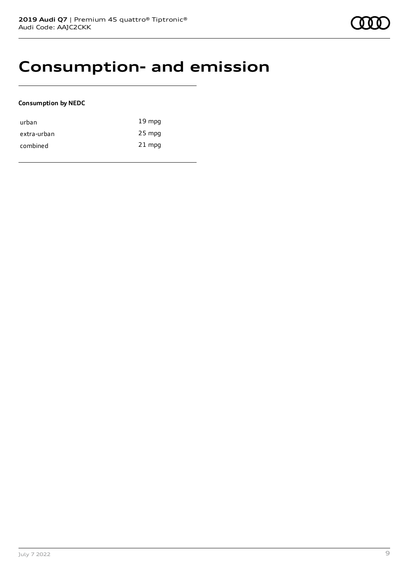### **Consumption- and emission**

### **Consumption by NEDC**

| urban       | $19 \text{ mpg}$ |
|-------------|------------------|
| extra-urban | 25 mpg           |
| combined    | $21$ mpg         |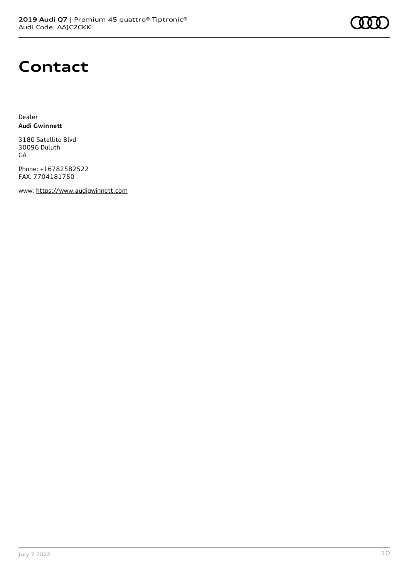# **Contact**

Dealer **Audi Gwinnett**

3180 Satellite Blvd 30096 Duluth GA

Phone: +16782582522 FAX: 7704181750

www: [https://www.audigwinnett.com](https://www.audigwinnett.com/)